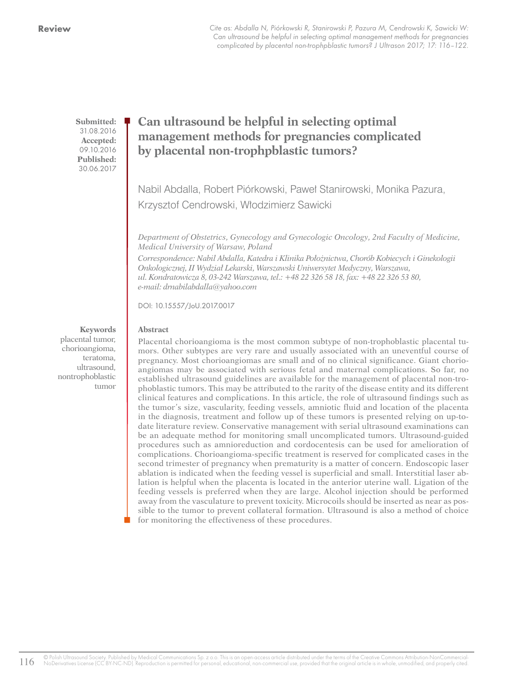Cite as: Abdalla N, Piórkowski R, Stanirowski P, Pazura M, Cendrowski K, Sawicki W: Can ultrasound be helpful in selecting optimal management methods for pregnancies complicated by placental non-trophpblastic tumors? J Ultrason 2017; 17: 116–122.

**Submitted:** 31.08.2016 **Accepted:** 09.10.2016 **Published:** 30.06.2017

# **Can ultrasound be helpful in selecting optimal management methods for pregnancies complicated by placental non-trophpblastic tumors?**

Nabil Abdalla, Robert Piórkowski, Paweł Stanirowski, Monika Pazura, Krzysztof Cendrowski, Włodzimierz Sawicki

*Department of Obstetrics, Gynecology and Gynecologic Oncology, 2nd Faculty of Medicine, Medical University of Warsaw, Poland Correspondence: Nabil Abdalla, Katedra i Klinika Położnictwa, Chorób Kobiecych i Ginekologii Onkologicznej, II Wydział Lekarski, Warszawski Uniwersytet Medyczny, Warszawa,* 

*ul. Kondratowicza 8, 03-242 Warszawa, tel.: +48 22 326 58 18, fax: +48 22 326 53 80, e-mail: drnabilabdalla@yahoo.com*

DOI: 10.15557/JoU.2017.0017

#### **Abstract**

Placental chorioangioma is the most common subtype of non-trophoblastic placental tumors. Other subtypes are very rare and usually associated with an uneventful course of pregnancy. Most chorioangiomas are small and of no clinical significance. Giant chorioangiomas may be associated with serious fetal and maternal complications. So far, no established ultrasound guidelines are available for the management of placental non-trophoblastic tumors. This may be attributed to the rarity of the disease entity and its different clinical features and complications. In this article, the role of ultrasound findings such as the tumor's size, vascularity, feeding vessels, amniotic fluid and location of the placenta in the diagnosis, treatment and follow up of these tumors is presented relying on up-todate literature review. Conservative management with serial ultrasound examinations can be an adequate method for monitoring small uncomplicated tumors. Ultrasound-guided procedures such as amnioreduction and cordocentesis can be used for amelioration of complications. Chorioangioma-specific treatment is reserved for complicated cases in the second trimester of pregnancy when prematurity is a matter of concern. Endoscopic laser ablation is indicated when the feeding vessel is superficial and small. Interstitial laser ablation is helpful when the placenta is located in the anterior uterine wall. Ligation of the feeding vessels is preferred when they are large. Alcohol injection should be performed away from the vasculature to prevent toxicity. Microcoils should be inserted as near as possible to the tumor to prevent collateral formation. Ultrasound is also a method of choice for monitoring the effectiveness of these procedures.

**Keywords** placental tumor, chorioangioma, teratoma, ultrasound, nontrophoblastic tumor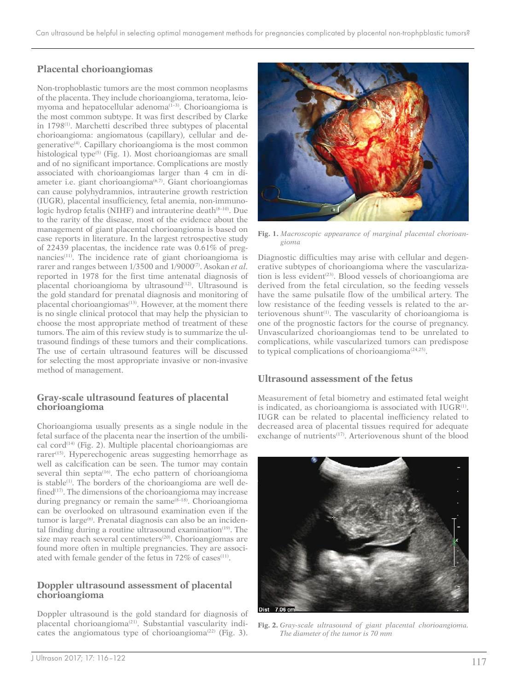## **Placental chorioangiomas**

Non-trophoblastic tumors are the most common neoplasms of the placenta. They include chorioangioma, teratoma, leiomyoma and hepatocellular adenoma<sup>(1-3)</sup>. Chorioangioma is the most common subtype. It was first described by Clarke in 1798<sup>(1)</sup>. Marchetti described three subtypes of placental chorioangioma: angiomatous (capillary), cellular and degenerative(4). Capillary chorioangioma is the most common histological type<sup> $(5)$ </sup> (Fig. 1). Most chorioangiomas are small and of no significant importance. Complications are mostly associated with chorioangiomas larger than 4 cm in diameter i.e. giant chorioangioma<sup>(6,7)</sup>. Giant chorioangiomas can cause polyhydramnios, intrauterine growth restriction (IUGR), placental insufficiency, fetal anemia, non-immunologic hydrop fetalis (NIHF) and intrauterine death<sup>(8-10)</sup>. Due to the rarity of the disease, most of the evidence about the management of giant placental chorioangioma is based on case reports in literature. In the largest retrospective study of 22439 placentas, the incidence rate was 0.61% of pregnancies<sup>(11)</sup>. The incidence rate of giant chorioangioma is rarer and ranges between 1/3500 and 1/9000(7). Asokan *et al.* reported in 1978 for the first time antenatal diagnosis of placental chorioangioma by ultrasound<sup>(12)</sup>. Ultrasound is the gold standard for prenatal diagnosis and monitoring of placental chorioangiomas<sup>(13)</sup>. However, at the moment there is no single clinical protocol that may help the physician to choose the most appropriate method of treatment of these tumors. The aim of this review study is to summarize the ultrasound findings of these tumors and their complications. The use of certain ultrasound features will be discussed for selecting the most appropriate invasive or non-invasive method of management.

### **Gray-scale ultrasound features of placental chorioangioma**

Chorioangioma usually presents as a single nodule in the fetal surface of the placenta near the insertion of the umbilical cord<sup> $(14)$ </sup> (Fig. 2). Multiple placental chorioangiomas are rarer<sup>(15)</sup>. Hyperechogenic areas suggesting hemorrhage as well as calcification can be seen. The tumor may contain several thin septa $(16)$ . The echo pattern of chorioangioma is stable<sup>(1)</sup>. The borders of the chorioangioma are well defined $(17)$ . The dimensions of the chorioangioma may increase during pregnancy or remain the same<sup>(8-18)</sup>. Chorioangioma can be overlooked on ultrasound examination even if the tumor is large<sup>(6)</sup>. Prenatal diagnosis can also be an incidental finding during a routine ultrasound examination<sup>(19)</sup>. The size may reach several centimeters<sup>(20)</sup>. Chorioangiomas are found more often in multiple pregnancies. They are associated with female gender of the fetus in 72% of cases<sup>(11)</sup>.

### **Doppler ultrasound assessment of placental chorioangioma**

Doppler ultrasound is the gold standard for diagnosis of placental chorioangioma<sup>(21)</sup>. Substantial vascularity indicates the angiomatous type of chorioangioma<sup> $(22)$ </sup> (Fig. 3).



**Fig. 1.** *Macroscopic appearance of marginal placental chorioangioma*

Diagnostic difficulties may arise with cellular and degenerative subtypes of chorioangioma where the vascularization is less evident<sup>(23)</sup>. Blood vessels of chorioangioma are derived from the fetal circulation, so the feeding vessels have the same pulsatile flow of the umbilical artery. The low resistance of the feeding vessels is related to the arteriovenous shunt<sup>(1)</sup>. The vascularity of chorioangioma is one of the prognostic factors for the course of pregnancy. Unvascularized chorioangiomas tend to be unrelated to complications, while vascularized tumors can predispose to typical complications of chorioangioma<sup>(24,25)</sup>.

### **Ultrasound assessment of the fetus**

Measurement of fetal biometry and estimated fetal weight is indicated, as chorioangioma is associated with  $IUGR^{(1)}$ . IUGR can be related to placental inefficiency related to decreased area of placental tissues required for adequate exchange of nutrients<sup>(17)</sup>. Arteriovenous shunt of the blood



**Fig. 2.** *Gray-scale ultrasound of giant placental chorioangioma. The diameter of the tumor is 70 mm*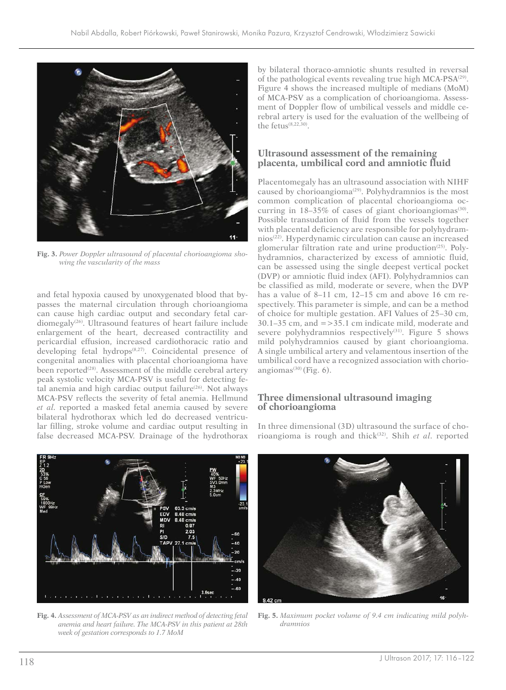

**Fig. 3.** *Power Doppler ultrasound of placental chorioangioma showing the vascularity of the mass*

and fetal hypoxia caused by unoxygenated blood that bypasses the maternal circulation through chorioangioma can cause high cardiac output and secondary fetal cardiomegaly<sup>(26)</sup>. Ultrasound features of heart failure include enlargement of the heart, decreased contractility and pericardial effusion, increased cardiothoracic ratio and  $developing$  fetal hydrops<sup> $(8,27)$ </sup>. Coincidental presence of congenital anomalies with placental chorioangioma have been reported<sup>(28)</sup>. Assessment of the middle cerebral artery peak systolic velocity MCA-PSV is useful for detecting fetal anemia and high cardiac output failure $(26)$ . Not always MCA-PSV reflects the severity of fetal anemia. Hellmund *et al.* reported a masked fetal anemia caused by severe bilateral hydrothorax which led do decreased ventricular filling, stroke volume and cardiac output resulting in false decreased MCA-PSV. Drainage of the hydrothorax by bilateral thoraco-amniotic shunts resulted in reversal of the pathological events revealing true high MCA-PSA<sup>(29)</sup>. Figure 4 shows the increased multiple of medians (MoM) of MCA-PSV as a complication of chorioangioma. Assessment of Doppler flow of umbilical vessels and middle cerebral artery is used for the evaluation of the wellbeing of the fetus $(8,22,30)$ .

#### **Ultrasound assessment of the remaining placenta, umbilical cord and amniotic fluid**

Placentomegaly has an ultrasound association with NIHF caused by chorioangioma<sup>(29)</sup>. Polyhydramnios is the most common complication of placental chorioangioma occurring in  $18-35\%$  of cases of giant chorioangiomas<sup>(30)</sup>. Possible transudation of fluid from the vessels together with placental deficiency are responsible for polyhydramnios(22). Hyperdynamic circulation can cause an increased glomerular filtration rate and urine production<sup>(25)</sup>. Polyhydramnios, characterized by excess of amniotic fluid, can be assessed using the single deepest vertical pocket (DVP) or amniotic fluid index (AFI). Polyhydramnios can be classified as mild, moderate or severe, when the DVP has a value of 8–11 cm, 12–15 cm and above 16 cm respectively. This parameter is simple, and can be a method of choice for multiple gestation. AFI Values of 25–30 cm,  $30.1-35$  cm, and  $=$   $>$   $35.1$  cm indicate mild, moderate and severe polyhydramnios respectively<sup>(31)</sup>. Figure 5 shows mild polyhydramnios caused by giant chorioangioma. A single umbilical artery and velamentous insertion of the umbilical cord have a recognized association with chorioangiomas $^{(30)}$  (Fig. 6).

### **Three dimensional ultrasound imaging of chorioangioma**

In three dimensional (3D) ultrasound the surface of chorioangioma is rough and thick(32). Shih *et al.* reported



**Fig. 4.** *Assessment of MCA-PSV as an indirect method of detecting fetal anemia and heart failure. The MCA-PSV in this patient at 28th week of gestation corresponds to 1.7 MoM*



**Fig. 5.** *Maximum pocket volume of 9.4 cm indicating mild polyhdramnios*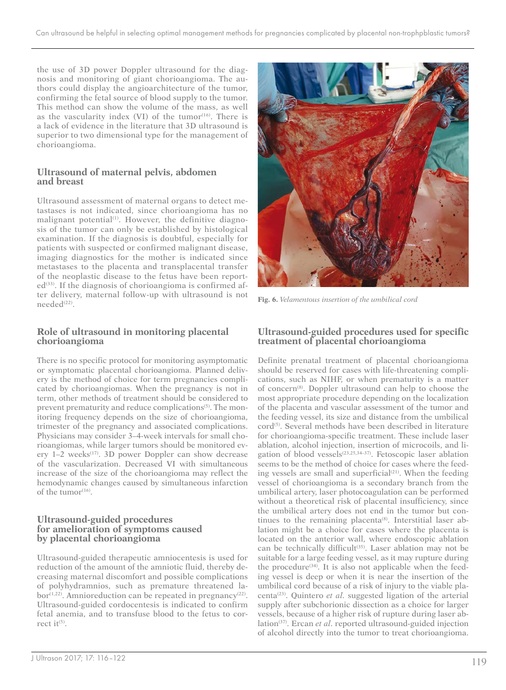the use of 3D power Doppler ultrasound for the diagnosis and monitoring of giant chorioangioma. The authors could display the angioarchitecture of the tumor, confirming the fetal source of blood supply to the tumor. This method can show the volume of the mass, as well as the vascularity index (VI) of the tumor $(16)$ . There is a lack of evidence in the literature that 3D ultrasound is superior to two dimensional type for the management of chorioangioma.

### **Ultrasound of maternal pelvis, abdomen and breast**

Ultrasound assessment of maternal organs to detect metastases is not indicated, since chorioangioma has no malignant potential<sup>(1)</sup>. However, the definitive diagnosis of the tumor can only be established by histological examination. If the diagnosis is doubtful, especially for patients with suspected or confirmed malignant disease, imaging diagnostics for the mother is indicated since metastases to the placenta and transplacental transfer of the neoplastic disease to the fetus have been report $ed^{(33)}$ . If the diagnosis of chorioangioma is confirmed after delivery, maternal follow-up with ultrasound is not needed<sup>(22)</sup>.

### **Role of ultrasound in monitoring placental chorioangioma**

There is no specific protocol for monitoring asymptomatic or symptomatic placental chorioangioma. Planned delivery is the method of choice for term pregnancies complicated by chorioangiomas. When the pregnancy is not in term, other methods of treatment should be considered to prevent prematurity and reduce complications<sup>(5)</sup>. The monitoring frequency depends on the size of chorioangioma, trimester of the pregnancy and associated complications. Physicians may consider 3–4-week intervals for small chorioangiomas, while larger tumors should be monitored every  $1-2$  weeks<sup>(17)</sup>. 3D power Doppler can show decrease of the vascularization. Decreased VI with simultaneous increase of the size of the chorioangioma may reflect the hemodynamic changes caused by simultaneous infarction of the tumor<sup>(16)</sup>.

#### **Ultrasound-guided procedures for amelioration of symptoms caused by placental chorioangioma**

Ultrasound-guided therapeutic amniocentesis is used for reduction of the amount of the amniotic fluid, thereby decreasing maternal discomfort and possible complications of polyhydramnios, such as premature threatened la $bor^{(1,22)}$ . Amnioreduction can be repeated in pregnancy<sup>(22)</sup>. Ultrasound-guided cordocentesis is indicated to confirm fetal anemia, and to transfuse blood to the fetus to correct it $(5)$ .



**Fig. 6.** *Velamentous insertion of the umbilical cord*

## **Ultrasound-guided procedures used for specific treatment of placental chorioangioma**

Definite prenatal treatment of placental chorioangioma should be reserved for cases with life-threatening complications, such as NIHF, or when prematurity is a matter of concern(8). Doppler ultrasound can help to choose the most appropriate procedure depending on the localization of the placenta and vascular assessment of the tumor and the feeding vessel, its size and distance from the umbilical cord<sup>(5)</sup>. Several methods have been described in literature for chorioangioma-specific treatment. These include laser ablation, alcohol injection, insertion of microcoils, and ligation of blood vessels<sup>(23,25,34–37)</sup>. Fetoscopic laser ablation seems to be the method of choice for cases where the feeding vessels are small and superficial $(21)$ . When the feeding vessel of chorioangioma is a secondary branch from the umbilical artery, laser photocoagulation can be performed without a theoretical risk of placental insufficiency, since the umbilical artery does not end in the tumor but continues to the remaining placenta<sup>(8)</sup>. Interstitial laser ablation might be a choice for cases where the placenta is located on the anterior wall, where endoscopic ablation can be technically difficult<sup>(35)</sup>. Laser ablation may not be suitable for a large feeding vessel, as it may rupture during the procedure<sup>(34)</sup>. It is also not applicable when the feeding vessel is deep or when it is near the insertion of the umbilical cord because of a risk of injury to the viable placenta(23). Quintero *et al.* suggested ligation of the arterial supply after subchorionic dissection as a choice for larger vessels, because of a higher risk of rupture during laser ablation<sup>(37)</sup>. Ercan *et al.* reported ultrasound-guided injection of alcohol directly into the tumor to treat chorioangioma.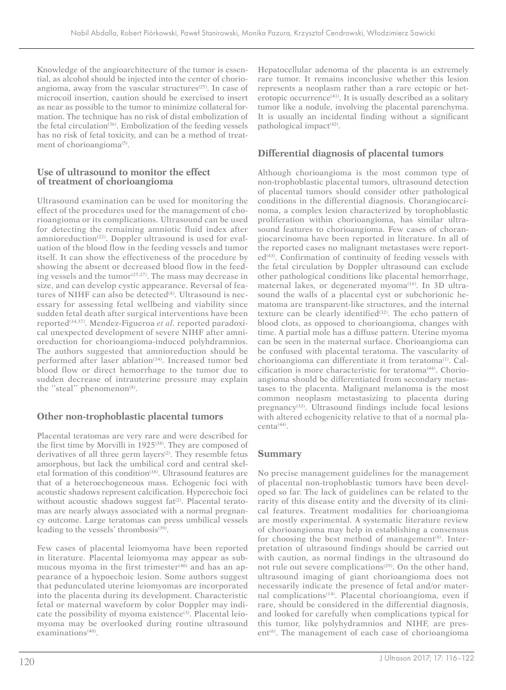Knowledge of the angioarchitecture of the tumor is essential, as alcohol should be injected into the center of chorioangioma, away from the vascular structures $(25)$ . In case of microcoil insertion, caution should be exercised to insert as near as possible to the tumor to minimize collateral formation. The technique has no risk of distal embolization of the fetal circulation<sup>(36)</sup>. Embolization of the feeding vessels has no risk of fetal toxicity, and can be a method of treatment of chorioangioma<sup>(5)</sup>.

### **Use of ultrasound to monitor the effect of treatment of chorioangioma**

Ultrasound examination can be used for monitoring the effect of the procedures used for the management of chorioangioma or its complications. Ultrasound can be used for detecting the remaining amniotic fluid index after amnioreduction<sup>(22)</sup>. Doppler ultrasound is used for evaluation of the blood flow in the feeding vessels and tumor itself. It can show the effectiveness of the procedure by showing the absent or decreased blood flow in the feeding vessels and the tumor<sup>(25,27)</sup>. The mass may decrease in size, and can develop cystic appearance. Reversal of features of NIHF can also be detected<sup>(8)</sup>. Ultrasound is necessary for assessing fetal wellbeing and viability since sudden fetal death after surgical interventions have been reported<sup>(34,37)</sup>. Mendez-Figueroa et al. reported paradoxical unexpected development of severe NIHF after amnioreduction for chorioangioma-induced polyhdramnios. The authors suggested that amnioreduction should be performed after laser ablation<sup>(34)</sup>. Increased tumor bed blood flow or direct hemorrhage to the tumor due to sudden decrease of intrauterine pressure may explain the "steal" phenomenon<sup>(8)</sup>.

# **Other non-trophoblastic placental tumors**

Placental teratomas are very rare and were described for the first time by Morvilli in  $1925^{(38)}$ . They are composed of derivatives of all three germ layers<sup>(2)</sup>. They resemble fetus amorphous, but lack the umbilical cord and central skeletal formation of this condition<sup>(38)</sup>. Ultrasound features are that of a heteroechogeneous mass. Echogenic foci with acoustic shadows represent calcification. Hyperechoic foci without acoustic shadows suggest  $fat^{(2)}$ . Placental teratomas are nearly always associated with a normal pregnancy outcome. Large teratomas can press umbilical vessels leading to the vessels' thrombosis<sup>(39)</sup>.

Few cases of placental leiomyoma have been reported in literature. Placental leiomyoma may appear as submucous myoma in the first trimester $(40)$  and has an appearance of a hypoechoic lesion. Some authors suggest that pedunculated uterine leiomyomas are incorporated into the placenta during its development. Characteristic fetal or maternal waveform by color Doppler may indicate the possibility of myoma existence<sup>(3)</sup>. Placental leiomyoma may be overlooked during routine ultrasound examinations<sup>(40)</sup>.

Hepatocellular adenoma of the placenta is an extremely rare tumor. It remains inconclusive whether this lesion represents a neoplasm rather than a rare ectopic or heterotopic occurrence<sup>(41)</sup>. It is usually described as a solitary tumor like a nodule, involving the placental parenchyma. It is usually an incidental finding without a significant pathological impact<sup>(42)</sup>.

## **Differential diagnosis of placental tumors**

Although chorioangioma is the most common type of non-trophoblastic placental tumors, ultrasound detection of placental tumors should consider other pathological conditions in the differential diagnosis. Chorangiocarcinoma, a complex lesion characterized by torophoblastic proliferation within chorioangioma, has similar ultrasound features to chorioangioma. Few cases of chorangiocarcinoma have been reported in literature. In all of the reported cases no malignant metastases were report $ed^{(43)}$ . Confirmation of continuity of feeding vessels with the fetal circulation by Doppler ultrasound can exclude other pathological conditions like placental hemorrhage, maternal lakes, or degenerated myoma<sup>(16)</sup>. In 3D ultrasound the walls of a placental cyst or subchorionic hematoma are transparent-like structures, and the internal texture can be clearly identified<sup>(32)</sup>. The echo pattern of blood clots, as opposed to chorioangioma, changes with time. A partial mole has a diffuse pattern. Uterine myoma can be seen in the maternal surface. Chorioangioma can be confused with placental teratoma. The vascularity of chorioangioma can differentiate it from teratoma<sup>(1)</sup>. Calcification is more characteristic for teratoma<sup>(44)</sup>. Chorioangioma should be differentiated from secondary metastases to the placenta. Malignant melanoma is the most common neoplasm metastasizing to placenta during pregnancy<sup>(33)</sup>. Ultrasound findings include focal lesions with altered echogenicity relative to that of a normal pla $centa<sup>(44)</sup>$ .

## **Summary**

No precise management guidelines for the management of placental non-trophoblastic tumors have been developed so far. The lack of guidelines can be related to the rarity of this disease entity and the diversity of its clinical features. Treatment modalities for chorioangioma are mostly experimental. A systematic literature review of chorioangioma may help in establishing a consensus for choosing the best method of management $(8)$ . Interpretation of ultrasound findings should be carried out with caution, as normal findings in the ultrasound do not rule out severe complications<sup>(29)</sup>. On the other hand, ultrasound imaging of giant chorioangioma does not necessarily indicate the presence of fetal and/or maternal complications<sup>(14)</sup>. Placental chorioangioma, even if rare, should be considered in the differential diagnosis, and looked for carefully when complications typical for this tumor, like polyhydramnios and NIHF, are pres $ent<sup>(6)</sup>$ . The management of each case of chorioangioma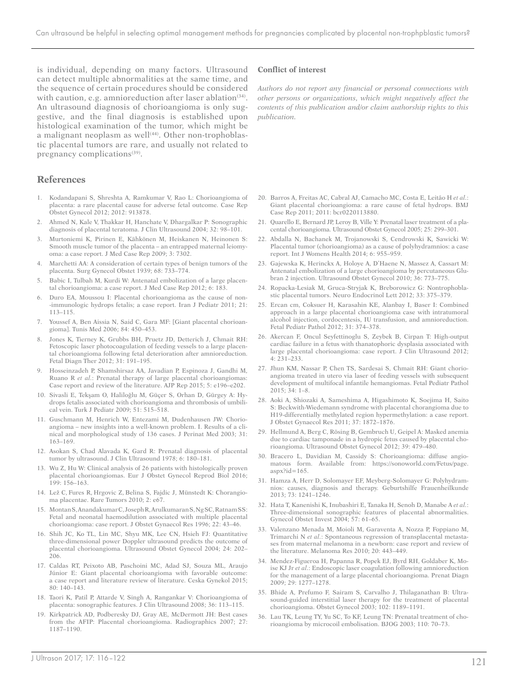is individual, depending on many factors. Ultrasound can detect multiple abnormalities at the same time, and the sequence of certain procedures should be considered with caution, e.g. amnioreduction after laser ablation $(34)$ . An ultrasound diagnosis of chorioangioma is only suggestive, and the final diagnosis is established upon histological examination of the tumor, which might be a malignant neoplasm as well $(44)$ . Other non-trophoblastic placental tumors are rare, and usually not related to pregnancy complications<sup>(39)</sup>.

#### **References**

- 1. Kodandapani S, Shreshta A, Ramkumar V, Rao L: Chorioangioma of placenta: a rare placental cause for adverse fetal outcome. Case Rep Obstet Gynecol 2012; 2012: 913878.
- 2. Ahmed N, Kale V, Thakkar H, Hanchate V, Dhargalkar P: Sonographic diagnosis of placental teratoma. J Clin Ultrasound 2004; 32: 98–101.
- 3. Murtoniemi K, Pirinen E, Kähkönen M, Heiskanen N, Heinonen S: Smooth muscle tumor of the placenta – an entrapped maternal leiomyoma: a case report. J Med Case Rep 2009; 3: 7302.
- 4. Marchetti AA: A consideration of certain types of benign tumors of the placenta. Surg Gynecol Obstet 1939; 68: 733–774.
- 5. Babic I, Tulbah M, Kurdi W: Antenatal embolization of a large placental chorioangioma: a case report. J Med Case Rep 2012; 6: 183.
- 6. Duro EA, Moussou I: Placental chorioangioma as the cause of non- -immunologic hydrops fetalis; a case report. Iran J Pediatr 2011; 21: 113–115.
- 7. [Youssef A](http://www.ncbi.nlm.nih.gov/pubmed/?term=Youssef A%5BAuthor%5D&cauthor=true&cauthor_uid=17039738), [Ben Aissia N](http://www.ncbi.nlm.nih.gov/pubmed/?term=Ben Aissia N%5BAuthor%5D&cauthor=true&cauthor_uid=17039738), [Said C](http://www.ncbi.nlm.nih.gov/pubmed/?term=Said C%5BAuthor%5D&cauthor=true&cauthor_uid=17039738), [Gara MF:](http://www.ncbi.nlm.nih.gov/pubmed/?term=Gara MF%5BAuthor%5D&cauthor=true&cauthor_uid=17039738) [Giant placental chorioangioma]. [Tunis Med](http://www.ncbi.nlm.nih.gov/pubmed/17039738) 2006; 84: 450–453.
- 8. Jones K, Tierney K, Grubbs BH, Pruetz JD, Detterich J, Chmait RH: Fetoscopic laser photocoagulation of feeding vessels to a large placental chorioangioma following fetal deterioration after amnioreduction. Fetal Diagn Ther 2012; 31: 191–195.
- 9. [Hosseinzadeh P](https://ssl.wum.edu.pl/pubmed/,DanaInfo=.awxyCrhhpHwvxL0wwPx6CT-Ey-33a93FWfRQJjDDVnSP+?term=Hosseinzadeh P%5BAuthor%5D&cauthor=true&cauthor_uid=26495184), [Shamshirsaz AA,](https://ssl.wum.edu.pl/pubmed/,DanaInfo=.awxyCrhhpHwvxL0wwPx6CT-Ey-33a93FWfRQJjDDVnSP+?term=Shamshirsaz AA%5BAuthor%5D&cauthor=true&cauthor_uid=26495184) [Javadian P,](https://ssl.wum.edu.pl/pubmed/,DanaInfo=.awxyCrhhpHwvxL0wwPx6CT-Ey-33a93FWfRQJjDDVnSP+?term=Javadian P%5BAuthor%5D&cauthor=true&cauthor_uid=26495184) [Espinoza J,](https://ssl.wum.edu.pl/pubmed/,DanaInfo=.awxyCrhhpHwvxL0wwPx6CT-Ey-33a93FWfRQJjDDVnSP+?term=Espinoza J%5BAuthor%5D&cauthor=true&cauthor_uid=26495184) [Gandhi M,](https://ssl.wum.edu.pl/pubmed/,DanaInfo=.awxyCrhhpHwvxL0wwPx6CT-Ey-33a93FWfRQJjDDVnSP+?term=Gandhi M%5BAuthor%5D&cauthor=true&cauthor_uid=26495184) [Ruano R](https://ssl.wum.edu.pl/pubmed/,DanaInfo=.awxyCrhhpHwvxL0wwPx6CT-Ey-33a93FWfRQJjDDVnSP+?term=Ruano R%5BAuthor%5D&cauthor=true&cauthor_uid=26495184) *et al.*: Prenatal therapy of large placental chorioangiomas: Case report and review of the literature. [AJP Rep](https://ssl.wum.edu.pl/pubmed/,DanaInfo=.awxyCrhhpHwvxL0wwPx6CT-Ey-33a93FWfRQJjDDVnSP+26495184) 2015; 5: e196–e202.
- 10. [Sivasli E,](https://ssl.wum.edu.pl/,DanaInfo=.awxyCrhhpHwvxL0wwPx6C+pubmed?term=Sivasli E%5BAuthor%5D&cauthor=true&cauthor_uid=20112613) [Tekşam O](https://ssl.wum.edu.pl/,DanaInfo=.awxyCrhhpHwvxL0wwPx6C+pubmed?term=Tek%C5%9Fam O%5BAuthor%5D&cauthor=true&cauthor_uid=20112613), [Haliloğlu M](https://ssl.wum.edu.pl/,DanaInfo=.awxyCrhhpHwvxL0wwPx6C+pubmed?term=Halilo%C4%9Flu M%5BAuthor%5D&cauthor=true&cauthor_uid=20112613), [Güçer S,](https://ssl.wum.edu.pl/,DanaInfo=.awxyCrhhpHwvxL0wwPx6C+pubmed?term=G%C3%BC%C3%A7er S%5BAuthor%5D&cauthor=true&cauthor_uid=20112613) [Orhan D](https://ssl.wum.edu.pl/,DanaInfo=.awxyCrhhpHwvxL0wwPx6C+pubmed?term=Orhan D%5BAuthor%5D&cauthor=true&cauthor_uid=20112613), [Gürgey A:](https://ssl.wum.edu.pl/,DanaInfo=.awxyCrhhpHwvxL0wwPx6C+pubmed?term=G%C3%BCrgey A%5BAuthor%5D&cauthor=true&cauthor_uid=20112613) Hydrops fetalis associated with chorioangioma and thrombosis of umbilical vein. [Turk J Pediatr](https://ssl.wum.edu.pl/,DanaInfo=.awxyCrhhpHwvxL0wwPx6C+pubmed?term=Hydrops fetalis associated with chorioangioma and thrombosis of umbilical vein.) 2009; 51: 515–518.
- 11. Guschmann M, Henrich W, Entezami M, Dudenhausen JW: Chorioangioma – new insights into a well-known problem. I. Results of a clinical and morphological study of 136 cases. J Perinat Med 2003; 31: 163–169.
- 12. Asokan S, Chad Alavada K, Gard R: Prenatal diagnosis of placental tumor by ultrasound. J Clin Ultrasound 1978; 6: 180–181.
- 13. [Wu Z,](https://ssl.wum.edu.pl/pubmed/,DanaInfo=.awxyCrhhpHwvxL0wwPx6CT-Ey-33a93FWfRQJjDDVnSP+?term=Wu Z%5BAuthor%5D&cauthor=true&cauthor_uid=26927893) [Hu W](https://ssl.wum.edu.pl/pubmed/,DanaInfo=.awxyCrhhpHwvxL0wwPx6CT-Ey-33a93FWfRQJjDDVnSP+?term=Hu W%5BAuthor%5D&cauthor=true&cauthor_uid=26927893): Clinical analysis of 26 patients with histologically proven placental chorioangiomas. [Eur J Obstet Gynecol Reprod Biol](https://ssl.wum.edu.pl/pubmed/,DanaInfo=.awxyCrhhpHwvxL0wwPx6CT-Ey-33a93FWfRQJjDDVnSP+26927893) 2016; 199: 156–163.
- 14. Lež C, Fures R, Hrgovic Z, Belina S, Fajdic J, Münstedt K: Chorangioma placentae. Rare Tumors 2010; 2: e67.
- 15. [Montan S,](http://www.ncbi.nlm.nih.gov/pubmed/?term=Montan S%5BAuthor%5D&cauthor=true&cauthor_uid=8624891) Anandakumar C, [Joseph R](http://www.ncbi.nlm.nih.gov/pubmed/?term=Joseph R%5BAuthor%5D&cauthor=true&cauthor_uid=8624891), [Arulkumaran S](http://www.ncbi.nlm.nih.gov/pubmed/?term=Arulkumaran S%5BAuthor%5D&cauthor=true&cauthor_uid=8624891), [Ng SC](http://www.ncbi.nlm.nih.gov/pubmed/?term=Ng SC%5BAuthor%5D&cauthor=true&cauthor_uid=8624891), [Ratnam SS](http://www.ncbi.nlm.nih.gov/pubmed/?term=Ratnam SS%5BAuthor%5D&cauthor=true&cauthor_uid=8624891): Fetal and neonatal haemodilution associated with multiple placental chorioangioma: case report. [J Obstet Gynaecol Res](http://www.ncbi.nlm.nih.gov/pubmed/8624891) 1996; 22: 43–46.
- 16. Shih JC, Ko TL, Lin MC, Shyu MK, Lee CN, Hsieh FJ: Quantitative three-dimensional power Doppler ultrasound predicts the outcome of placental chorioangioma. Ultrasound Obstet Gynecol 2004; 24: 202– 206.
- 17. Caldas RT, Peixoto AB, Paschoini MC, Adad SJ, Souza ML, Araujo Júnior E: Giant placental chorioangioma with favorable outcome: a case report and literature review of literature. Ceska Gynekol 2015; 80: 140–143.
- 18. Taori K, Patil P, Attarde V, Singh A, Rangankar V: Chorioangioma of placenta: sonographic features. J Clin Ultrasound 2008; 36: 113–115.
- 19. Kirkpatrick AD, Podberesky DJ, Gray AE, McDermott JH: Best cases from the AFIP: Placental chorioangioma. Radiographics 2007; 27: 1187–1190.

#### **Conflict of interest**

*Authors do not report any financial or personal connections with other persons or organizations, which might negatively affect the contents of this publication and/or claim authorship rights to this publication.*

- 20. Barros A, Freitas AC, Cabral AJ, Camacho MC, Costa E, Leitão H *et al.*: Giant placental chorioangioma: a rare cause of fetal hydrops. BMJ Case Rep 2011; 2011: bcr0220113880.
- 21. Quarello E, Bernard JP, Leroy B, Ville Y: Prenatal laser treatment of a placental chorioangioma. Ultrasound Obstet Gynecol 2005; 25: 299–301.
- 22. Abdalla N, Bachanek M, Trojanowski S, Cendrowski K, Sawicki W: Placental tumor (chorioangioma) as a cause of polyhydramnios: a case report. Int J Womens Health 2014; 6: 955–959.
- 23. Gajewska K, Herinckx A, Holoye A, D'Haene N, Massez A, Cassart M: Antenatal embolization of a large chorioangioma by percutaneous Glubran 2 injection. Ultrasound Obstet Gynecol 2010; 36: 773–775.
- 24. Ropacka-Lesiak M, Gruca-Stryjak K, Breborowicz G: Nontrophoblastic placental tumors. Neuro Endocrinol Lett 2012; 33: 375–379.
- 25. Ercan cm, Coksuer H, Karasahin KE, Alanbay I, Baser I: Combined approach in a large placental chorioangioma case with intratumoral alcohol injection, cordocentesis, IU transfusion, and amnioreduction. Fetal Pediatr Pathol 2012; 31: 374–378.
- 26. Akercan F, Oncul Seyfettinoglu S, Zeybek B, Cirpan T: High-output cardiac failure in a fetus with thanatophoric dysplasia associated with large placental chorioangioma: case report. J Clin Ultrasound 2012; 4: 231–233.
- 27. Jhun KM, Nassar P, Chen TS, Sardesai S, Chmait RH: Giant chorioangioma treated in utero via laser of feeding vessels with subsequent development of multifocal infantile hemangiomas. Fetal Pediatr Pathol 2015; 34: 1–8.
- 28. Aoki A, Shiozaki A, Sameshima A, Higashimoto K, Soejima H, Saito S: Beckwith-Wiedemann syndrome with placental chorangioma due to H19-differentially methylated region hypermethylation: a case report. J Obstet Gynaecol Res 2011; 37: 1872–1876.
- 29. Hellmund A, Berg C, Rösing B, Gembruch U, Geipel A: Masked anemia due to cardiac tamponade in a hydropic fetus caused by placental chorioangioma. Ultrasound Obstet Gynecol 2012; 39: 479–480.
- 30. Bracero L, Davidian M, Cassidy S: Chorioangioma: diffuse angiomatous form. Available from: https://sonoworld.com/Fetus/page.  $a$ spx? $id=165$ .
- 31. Hamza A, Herr D, Solomayer EF, Meyberg-Solomayer G: Polyhydramnios: causes, diagnosis and therapy. Geburtshilfe Frauenheilkunde 2013; 73: 1241–1246.
- 32. Hata T, Kanenishi K, Inubashiri E, Tanaka H, Senoh D, Manabe A *et al.*: Three-dimensional sonographic features of placental abnormalities. Gynecol Obstet Invest 2004; 57: 61–65.
- 33. Valenzano Menada M, Moioli M, Garaventa A, Nozza P, Foppiano M, Trimarchi N *et al.*: Spontaneous regression of transplacental metastases from maternal melanoma in a newborn: case report and review of the literature. Melanoma Res 2010; 20: 443–449.
- 34. Mendez-Figueroa H, Papanna R, Popek EJ, Byrd RH, Goldaber K, Moise KJ Jr *et al.*: Endoscopic laser coagulation following amnioreduction for the management of a large placental chorioangioma. Prenat Diagn 2009; 29: 1277–1278.
- 35. Bhide A, Prefumo F, Sairam S, Carvalho J, Thilaganathan B: Ultrasound-guided interstitial laser therapy for the treatment of placental chorioangioma. Obstet Gynecol 2003; 102: 1189–1191.
- 36. Lau TK, Leung TY, Yu SC, To KF, Leung TN: Prenatal treatment of chorioangioma by microcoil embolisation. BJOG 2003; 110: 70–73.